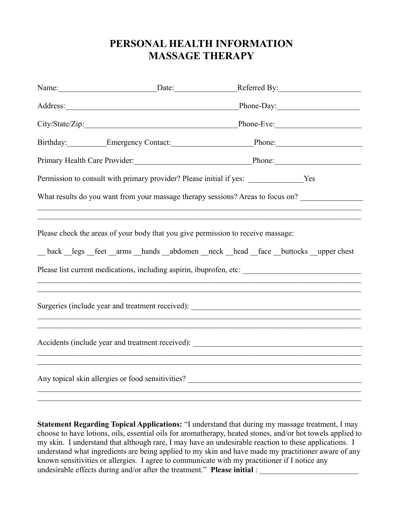# **PERSONAL HEALTH INFORMATION MASSAGE THERAPY**

|                                                                                   |                                                                                  | Name: Date: Date: Referred By:                                                        |  |
|-----------------------------------------------------------------------------------|----------------------------------------------------------------------------------|---------------------------------------------------------------------------------------|--|
|                                                                                   |                                                                                  | $Phone-Day:$                                                                          |  |
|                                                                                   |                                                                                  |                                                                                       |  |
|                                                                                   |                                                                                  | Birthday: Emergency Contact: Phone: Phone:                                            |  |
|                                                                                   |                                                                                  | Primary Health Care Provider: Phone: Phone: Phone:                                    |  |
|                                                                                   |                                                                                  | Permission to consult with primary provider? Please initial if yes: ______________Yes |  |
|                                                                                   |                                                                                  | What results do you want from your massage therapy sessions? Areas to focus on?       |  |
|                                                                                   |                                                                                  |                                                                                       |  |
|                                                                                   | Please check the areas of your body that you give permission to receive massage: |                                                                                       |  |
|                                                                                   |                                                                                  | back legs feet arms hands abdomen neck head face buttocks upper chest                 |  |
|                                                                                   |                                                                                  |                                                                                       |  |
|                                                                                   |                                                                                  |                                                                                       |  |
|                                                                                   |                                                                                  | Surgeries (include year and treatment received): ________________________________     |  |
|                                                                                   |                                                                                  |                                                                                       |  |
| Accidents (include year and treatment received): ________________________________ |                                                                                  |                                                                                       |  |
|                                                                                   |                                                                                  |                                                                                       |  |
|                                                                                   |                                                                                  | Any topical skin allergies or food sensitivities? _______________________________     |  |
|                                                                                   |                                                                                  |                                                                                       |  |

**Statement Regarding Topical Applications:** "I understand that during my massage treatment, I may choose to have lotions, oils, essential oils for aromatherapy, heated stones, and/or hot towels applied to my skin. I understand that although rare, I may have an undesirable reaction to these applications. I understand what ingredients are being applied to my skin and have made my practitioner aware of any known sensitivities or allergies. I agree to communicate with my practitioner if I notice any undesirable effects during and/or after the treatment." **Please initial** :